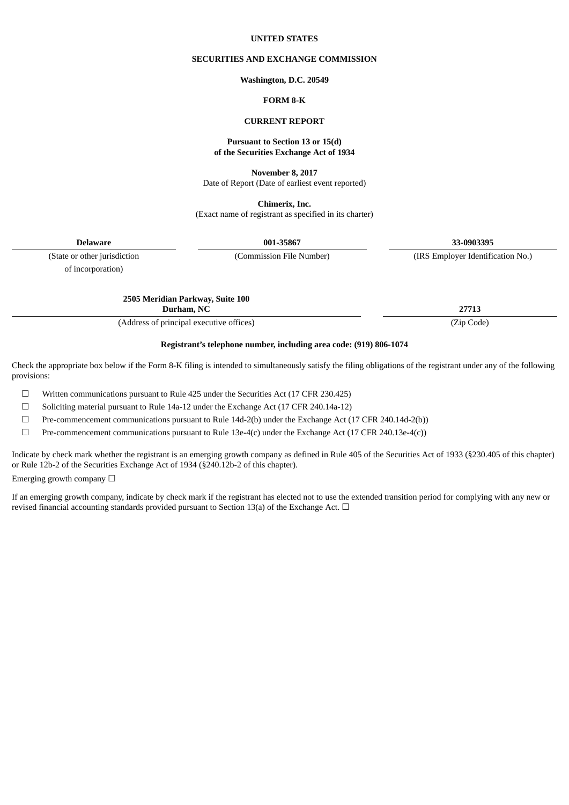#### **UNITED STATES**

### **SECURITIES AND EXCHANGE COMMISSION**

#### **Washington, D.C. 20549**

## **FORM 8-K**

## **CURRENT REPORT**

#### **Pursuant to Section 13 or 15(d) of the Securities Exchange Act of 1934**

**November 8, 2017**

Date of Report (Date of earliest event reported)

**Chimerix, Inc.** (Exact name of registrant as specified in its charter)

**Delaware 001-35867 33-0903395**

of incorporation)

(State or other jurisdiction (Commission File Number) (IRS Employer Identification No.)

**2505 Meridian Parkway, Suite 100**

**Durham, NC 27713**

(Address of principal executive offices) (Zip Code)

**Registrant's telephone number, including area code: (919) 806-1074**

Check the appropriate box below if the Form 8-K filing is intended to simultaneously satisfy the filing obligations of the registrant under any of the following provisions:

☐ Written communications pursuant to Rule 425 under the Securities Act (17 CFR 230.425)

☐ Soliciting material pursuant to Rule 14a-12 under the Exchange Act (17 CFR 240.14a-12)

 $\Box$  Pre-commencement communications pursuant to Rule 14d-2(b) under the Exchange Act (17 CFR 240.14d-2(b))

 $\Box$  Pre-commencement communications pursuant to Rule 13e-4(c) under the Exchange Act (17 CFR 240.13e-4(c))

Indicate by check mark whether the registrant is an emerging growth company as defined in Rule 405 of the Securities Act of 1933 (§230.405 of this chapter) or Rule 12b-2 of the Securities Exchange Act of 1934 (§240.12b-2 of this chapter).

Emerging growth company  $\Box$ 

If an emerging growth company, indicate by check mark if the registrant has elected not to use the extended transition period for complying with any new or revised financial accounting standards provided pursuant to Section 13(a) of the Exchange Act.  $\Box$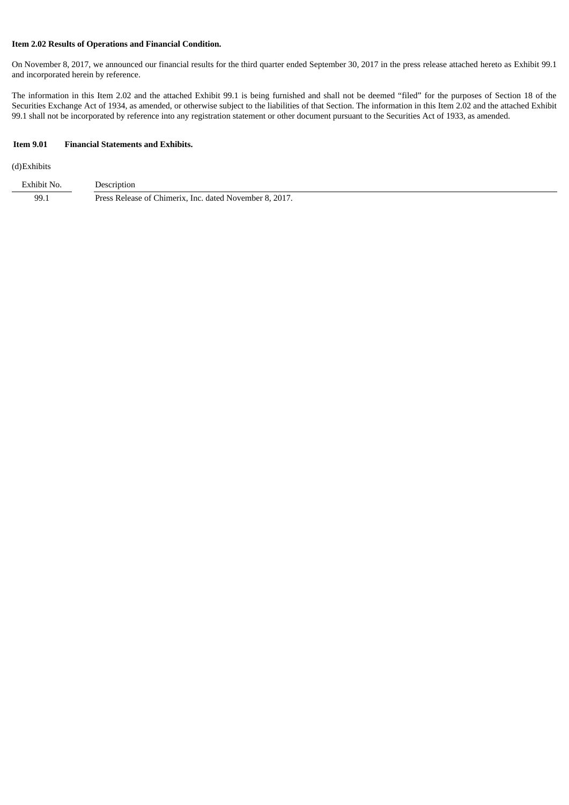## **Item 2.02 Results of Operations and Financial Condition.**

On November 8, 2017, we announced our financial results for the third quarter ended September 30, 2017 in the press release attached hereto as Exhibit 99.1 and incorporated herein by reference.

The information in this Item 2.02 and the attached Exhibit 99.1 is being furnished and shall not be deemed "filed" for the purposes of Section 18 of the Securities Exchange Act of 1934, as amended, or otherwise subject to the liabilities of that Section. The information in this Item 2.02 and the attached Exhibit 99.1 shall not be incorporated by reference into any registration statement or other document pursuant to the Securities Act of 1933, as amended.

#### **Item 9.01 Financial Statements and Exhibits.**

#### (d)Exhibits

| Exhibit No. | Description                                             |
|-------------|---------------------------------------------------------|
| 99.1        | Press Release of Chimerix, Inc. dated November 8, 2017. |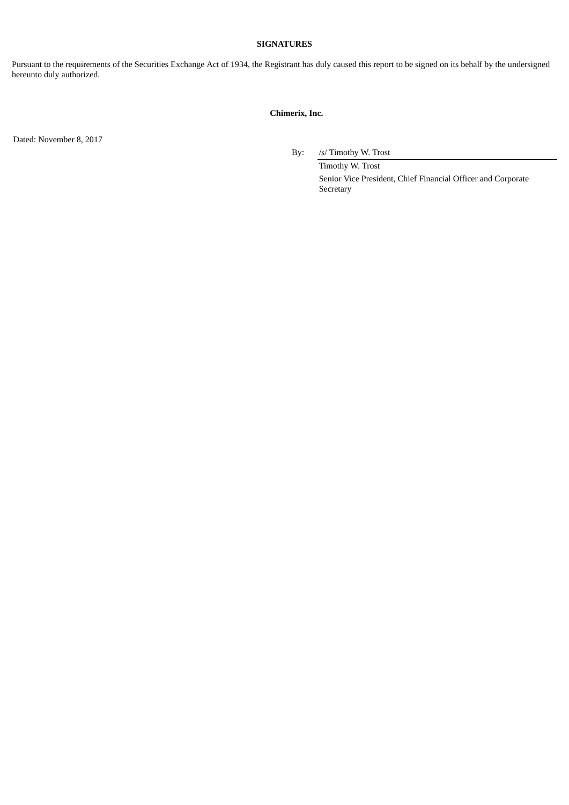## **SIGNATURES**

Pursuant to the requirements of the Securities Exchange Act of 1934, the Registrant has duly caused this report to be signed on its behalf by the undersigned hereunto duly authorized.

# **Chimerix, Inc.**

Dated: November 8, 2017

By: /s/ Timothy W. Trost

Timothy W. Trost Senior Vice President, Chief Financial Officer and Corporate Secretary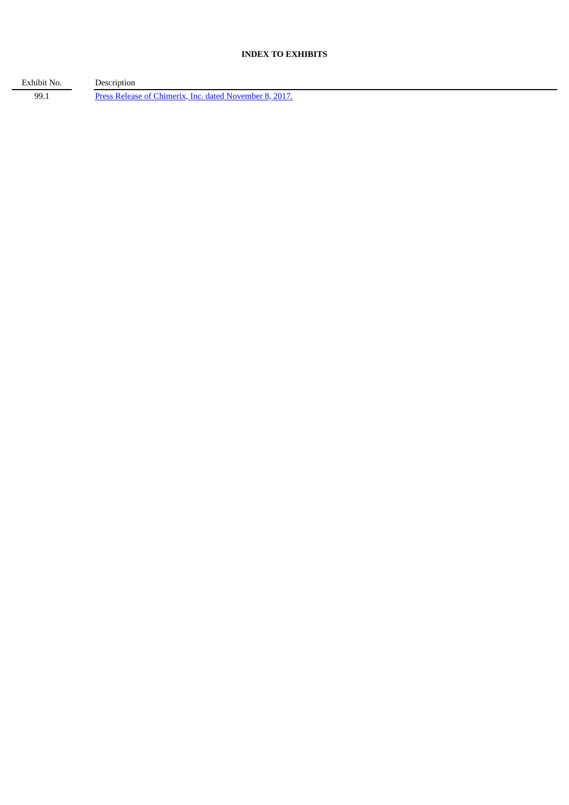# **INDEX TO EXHIBITS**

Exhibit No. Description 99.1 Press Release of Chimerix, Inc. dated [November](#page-4-0) 8, 2017.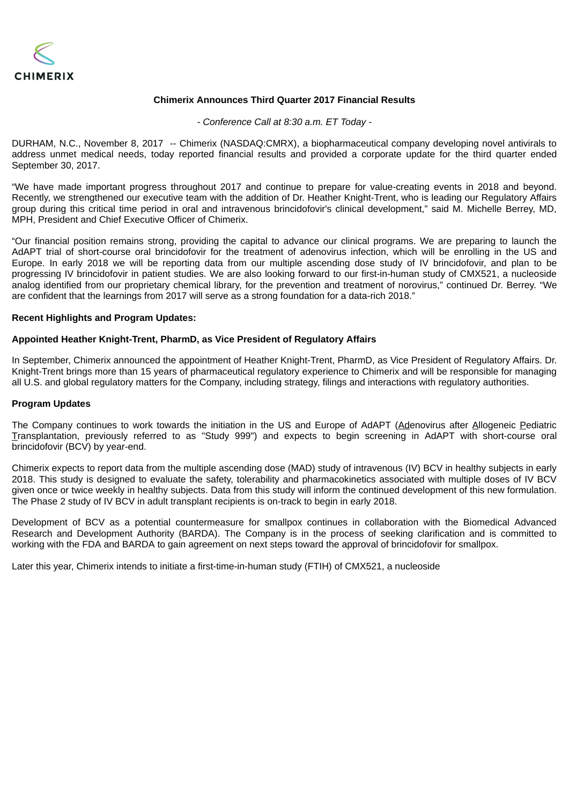<span id="page-4-0"></span>

## **Chimerix Announces Third Quarter 2017 Financial Results**

*- Conference Call at 8:30 a.m. ET Today -*

DURHAM, N.C., November 8, 2017 -- Chimerix (NASDAQ:CMRX), a biopharmaceutical company developing novel antivirals to address unmet medical needs, today reported financial results and provided a corporate update for the third quarter ended September 30, 2017.

"We have made important progress throughout 2017 and continue to prepare for value-creating events in 2018 and beyond. Recently, we strengthened our executive team with the addition of Dr. Heather Knight-Trent, who is leading our Regulatory Affairs group during this critical time period in oral and intravenous brincidofovir's clinical development," said M. Michelle Berrey, MD, MPH, President and Chief Executive Officer of Chimerix.

"Our financial position remains strong, providing the capital to advance our clinical programs. We are preparing to launch the AdAPT trial of short-course oral brincidofovir for the treatment of adenovirus infection, which will be enrolling in the US and Europe. In early 2018 we will be reporting data from our multiple ascending dose study of IV brincidofovir, and plan to be progressing IV brincidofovir in patient studies. We are also looking forward to our first-in-human study of CMX521, a nucleoside analog identified from our proprietary chemical library, for the prevention and treatment of norovirus," continued Dr. Berrey. "We are confident that the learnings from 2017 will serve as a strong foundation for a data-rich 2018."

## **Recent Highlights and Program Updates:**

# **Appointed Heather Knight-Trent, PharmD, as Vice President of Regulatory Affairs**

In September, Chimerix announced the appointment of Heather Knight-Trent, PharmD, as Vice President of Regulatory Affairs. Dr. Knight-Trent brings more than 15 years of pharmaceutical regulatory experience to Chimerix and will be responsible for managing all U.S. and global regulatory matters for the Company, including strategy, filings and interactions with regulatory authorities.

## **Program Updates**

The Company continues to work towards the initiation in the US and Europe of AdAPT (Adenovirus after Allogeneic Pediatric Transplantation, previously referred to as "Study 999") and expects to begin screening in AdAPT with short-course oral brincidofovir (BCV) by year-end.

Chimerix expects to report data from the multiple ascending dose (MAD) study of intravenous (IV) BCV in healthy subjects in early 2018. This study is designed to evaluate the safety, tolerability and pharmacokinetics associated with multiple doses of IV BCV given once or twice weekly in healthy subjects. Data from this study will inform the continued development of this new formulation. The Phase 2 study of IV BCV in adult transplant recipients is on-track to begin in early 2018.

Development of BCV as a potential countermeasure for smallpox continues in collaboration with the Biomedical Advanced Research and Development Authority (BARDA). The Company is in the process of seeking clarification and is committed to working with the FDA and BARDA to gain agreement on next steps toward the approval of brincidofovir for smallpox.

Later this year, Chimerix intends to initiate a first-time-in-human study (FTIH) of CMX521, a nucleoside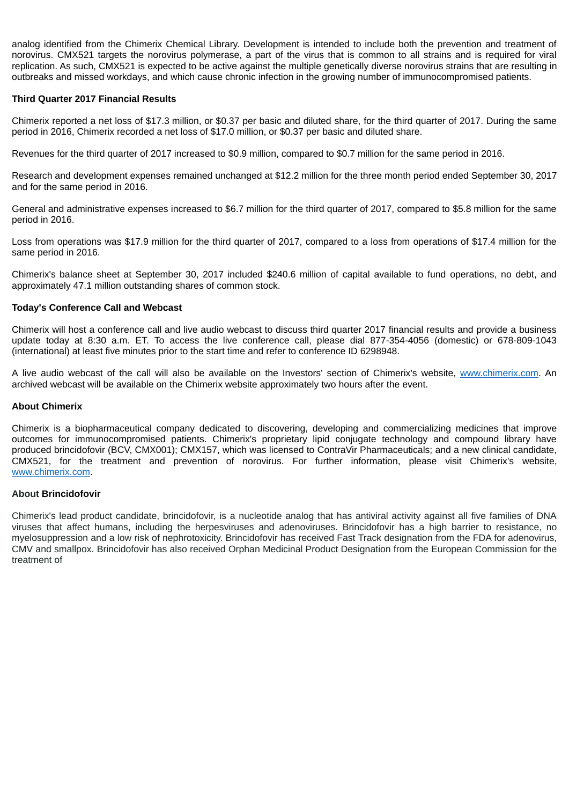analog identified from the Chimerix Chemical Library. Development is intended to include both the prevention and treatment of norovirus. CMX521 targets the norovirus polymerase, a part of the virus that is common to all strains and is required for viral replication. As such, CMX521 is expected to be active against the multiple genetically diverse norovirus strains that are resulting in outbreaks and missed workdays, and which cause chronic infection in the growing number of immunocompromised patients.

# **Third Quarter 2017 Financial Results**

Chimerix reported a net loss of \$17.3 million, or \$0.37 per basic and diluted share, for the third quarter of 2017. During the same period in 2016, Chimerix recorded a net loss of \$17.0 million, or \$0.37 per basic and diluted share.

Revenues for the third quarter of 2017 increased to \$0.9 million, compared to \$0.7 million for the same period in 2016.

Research and development expenses remained unchanged at \$12.2 million for the three month period ended September 30, 2017 and for the same period in 2016.

General and administrative expenses increased to \$6.7 million for the third quarter of 2017, compared to \$5.8 million for the same period in 2016.

Loss from operations was \$17.9 million for the third quarter of 2017, compared to a loss from operations of \$17.4 million for the same period in 2016.

Chimerix's balance sheet at September 30, 2017 included \$240.6 million of capital available to fund operations, no debt, and approximately 47.1 million outstanding shares of common stock.

# **Today's Conference Call and Webcast**

Chimerix will host a conference call and live audio webcast to discuss third quarter 2017 financial results and provide a business update today at 8:30 a.m. ET. To access the live conference call, please dial 877-354-4056 (domestic) or 678-809-1043 (international) at least five minutes prior to the start time and refer to conference ID 6298948.

A live audio webcast of the call will also be available on the Investors' section of Chimerix's website, www.chimerix.com. An archived webcast will be available on the Chimerix website approximately two hours after the event.

## **About Chimerix**

Chimerix is a biopharmaceutical company dedicated to discovering, developing and commercializing medicines that improve outcomes for immunocompromised patients. Chimerix's proprietary lipid conjugate technology and compound library have produced brincidofovir (BCV, CMX001); CMX157, which was licensed to ContraVir Pharmaceuticals; and a new clinical candidate, CMX521, for the treatment and prevention of norovirus. For further information, please visit Chimerix's website, www.chimerix.com.

# **About Brincidofovir**

Chimerix's lead product candidate, brincidofovir, is a nucleotide analog that has antiviral activity against all five families of DNA viruses that affect humans, including the herpesviruses and adenoviruses. Brincidofovir has a high barrier to resistance, no myelosuppression and a low risk of nephrotoxicity. Brincidofovir has received Fast Track designation from the FDA for adenovirus, CMV and smallpox. Brincidofovir has also received Orphan Medicinal Product Designation from the European Commission for the treatment of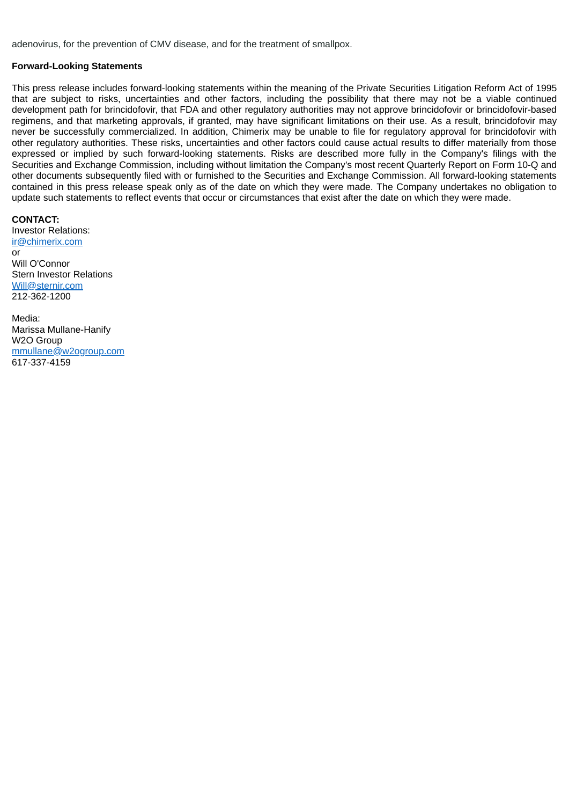adenovirus, for the prevention of CMV disease, and for the treatment of smallpox.

## **Forward-Looking Statements**

This press release includes forward-looking statements within the meaning of the Private Securities Litigation Reform Act of 1995 that are subject to risks, uncertainties and other factors, including the possibility that there may not be a viable continued development path for brincidofovir, that FDA and other regulatory authorities may not approve brincidofovir or brincidofovir-based regimens, and that marketing approvals, if granted, may have significant limitations on their use. As a result, brincidofovir may never be successfully commercialized. In addition, Chimerix may be unable to file for regulatory approval for brincidofovir with other regulatory authorities. These risks, uncertainties and other factors could cause actual results to differ materially from those expressed or implied by such forward-looking statements. Risks are described more fully in the Company's filings with the Securities and Exchange Commission, including without limitation the Company's most recent Quarterly Report on Form 10-Q and other documents subsequently filed with or furnished to the Securities and Exchange Commission. All forward-looking statements contained in this press release speak only as of the date on which they were made. The Company undertakes no obligation to update such statements to reflect events that occur or circumstances that exist after the date on which they were made.

**CONTACT:** Investor Relations: ir@chimerix.com or Will O'Connor Stern Investor Relations Will@sternir.com 212-362-1200

Media: Marissa Mullane-Hanify W2O Group mmullane@w2ogroup.com 617-337-4159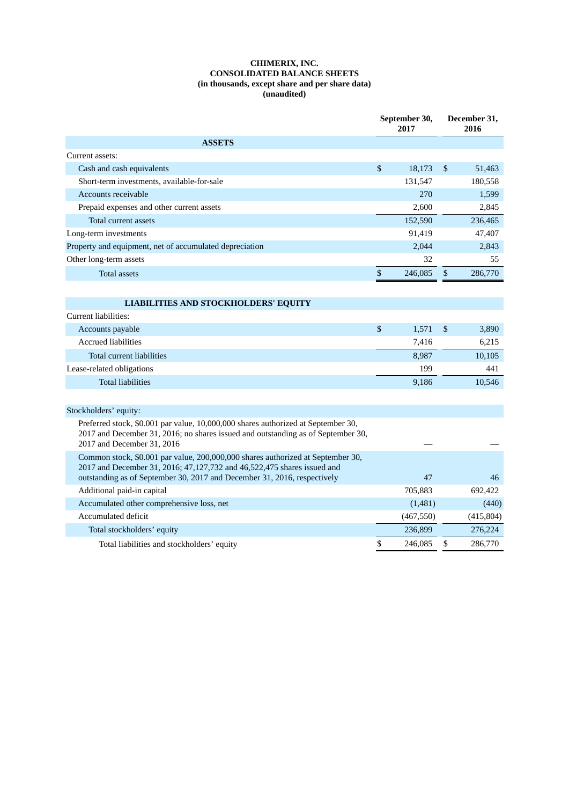## **CHIMERIX, INC. CONSOLIDATED BALANCE SHEETS (in thousands, except share and per share data) (unaudited)**

|                                                                                                                                                                                                     |    | September 30,<br>2017 |                | December 31,<br>2016 |  |
|-----------------------------------------------------------------------------------------------------------------------------------------------------------------------------------------------------|----|-----------------------|----------------|----------------------|--|
| <b>ASSETS</b>                                                                                                                                                                                       |    |                       |                |                      |  |
| Current assets:                                                                                                                                                                                     |    |                       |                |                      |  |
| Cash and cash equivalents                                                                                                                                                                           | \$ | 18,173                | \$             | 51,463               |  |
| Short-term investments, available-for-sale                                                                                                                                                          |    | 131,547               |                | 180,558              |  |
| Accounts receivable                                                                                                                                                                                 |    | 270                   |                | 1,599                |  |
| Prepaid expenses and other current assets                                                                                                                                                           |    | 2,600                 |                | 2,845                |  |
| Total current assets                                                                                                                                                                                |    | 152,590               |                | 236,465              |  |
| Long-term investments                                                                                                                                                                               |    | 91,419                |                | 47,407               |  |
| Property and equipment, net of accumulated depreciation                                                                                                                                             |    | 2,044                 |                | 2,843                |  |
| Other long-term assets                                                                                                                                                                              |    | 32                    |                | 55                   |  |
| <b>Total assets</b>                                                                                                                                                                                 | \$ | 246,085               | \$             | 286,770              |  |
|                                                                                                                                                                                                     |    |                       |                |                      |  |
| <b>LIABILITIES AND STOCKHOLDERS' EQUITY</b>                                                                                                                                                         |    |                       |                |                      |  |
| Current liabilities:                                                                                                                                                                                |    |                       |                |                      |  |
| Accounts payable                                                                                                                                                                                    | \$ | 1,571                 | $\mathfrak{s}$ | 3,890                |  |
| <b>Accrued liabilities</b>                                                                                                                                                                          |    | 7,416                 |                | 6,215                |  |
| Total current liabilities                                                                                                                                                                           |    | 8,987                 |                | 10,105               |  |
| Lease-related obligations                                                                                                                                                                           |    | 199                   |                | 441                  |  |
| <b>Total liabilities</b>                                                                                                                                                                            |    | 9,186                 |                | 10,546               |  |
|                                                                                                                                                                                                     |    |                       |                |                      |  |
| Stockholders' equity:                                                                                                                                                                               |    |                       |                |                      |  |
| Preferred stock, \$0.001 par value, 10,000,000 shares authorized at September 30,<br>2017 and December 31, 2016; no shares issued and outstanding as of September 30,<br>2017 and December 31, 2016 |    |                       |                |                      |  |
| Common stock, \$0.001 par value, 200,000,000 shares authorized at September 30,<br>2017 and December 31, 2016; 47,127,732 and 46,522,475 shares issued and                                          |    |                       |                |                      |  |
| outstanding as of September 30, 2017 and December 31, 2016, respectively                                                                                                                            |    | 47                    |                | 46                   |  |
| Additional paid-in capital                                                                                                                                                                          |    | 705,883               |                | 692,422              |  |
| Accumulated other comprehensive loss, net                                                                                                                                                           |    | (1,481)               |                | (440)                |  |
| Accumulated deficit                                                                                                                                                                                 |    | (467, 550)            |                | (415, 804)           |  |
| Total stockholders' equity                                                                                                                                                                          |    | 236,899               |                | 276,224              |  |
| Total liabilities and stockholders' equity                                                                                                                                                          | \$ | 246,085               | \$             | 286,770              |  |